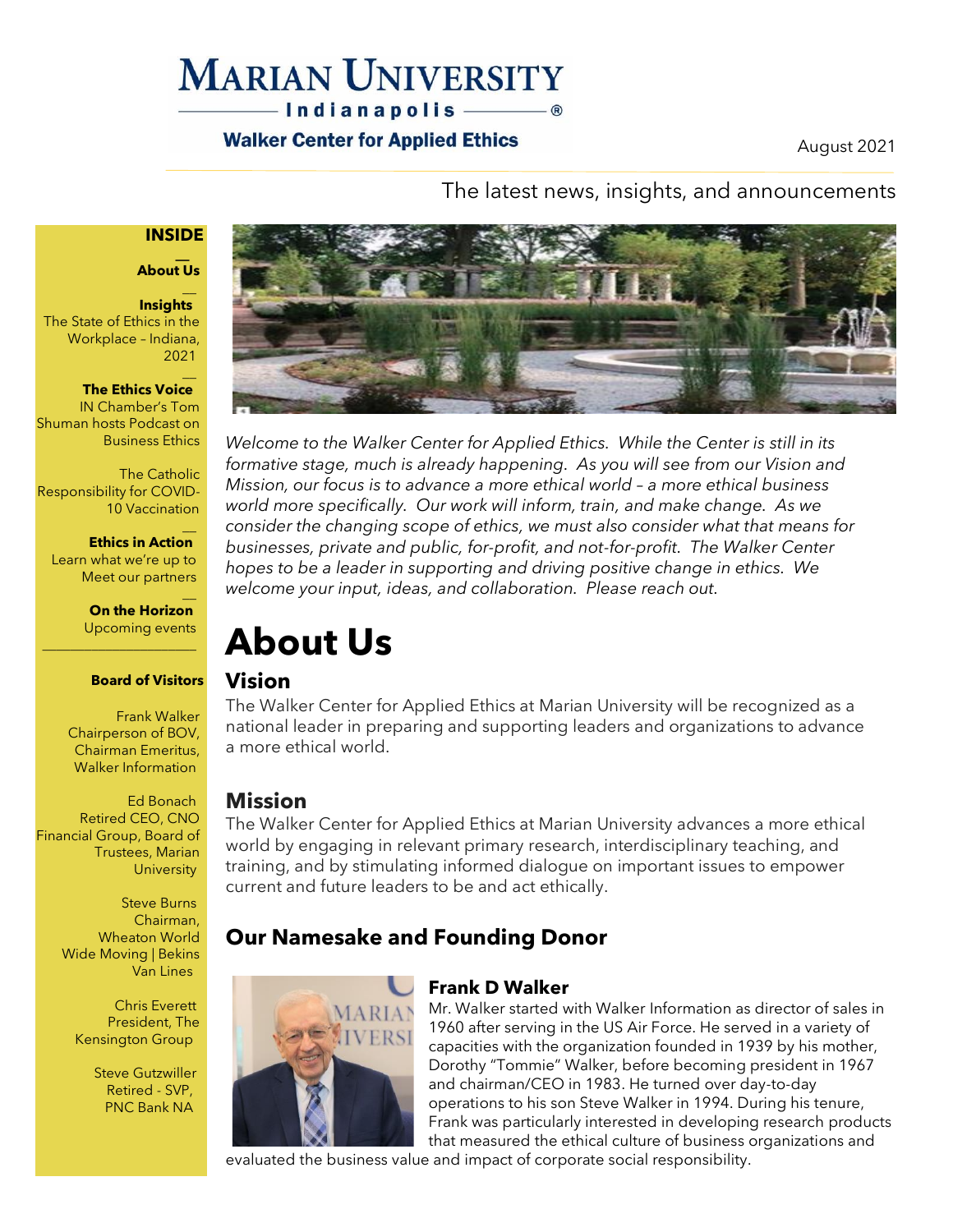### **MARIAN UNIVERSITY** -Indianapolis ———— ®

### **Walker Center for Applied Ethics**

August 2021

The latest news, insights, and announcements

#### **INSIDE**

#### **\_\_ About Us**

 $\overline{\phantom{a}}$ 

**Insights**  The State of Ethics in the Workplace – Indiana, 2021

#### $\overline{\phantom{a}}$ **The Ethics Voice**

IN Chamber's Tom Shuman hosts Podcast on Business Ethics

The Catholic Responsibility for COVID-10 Vaccination

 $\overline{\phantom{a}}$ **Ethics in Action**  Learn what we're up to Meet our partners

\_\_\_\_\_\_\_\_\_\_\_\_\_\_\_\_\_\_\_\_\_\_

 $\overline{\phantom{a}}$ **On the Horizon**  Upcoming events

#### **Board of Visitors**

Frank Walker Chairperson of BOV, Chairman Emeritus, Walker Information

Ed Bonach Retired CEO, CNO Financial Group, Board of Trustees, Marian **University** 

> Steve Burns Chairman, Wheaton World Wide Moving | Bekins Van Lines

> > Chris Everett President, The Kensington Group

> > > Steve Gutzwiller Retired - SVP, PNC Bank NA



*Welcome to the Walker Center for Applied Ethics. While the Center is still in its formative stage, much is already happening. As you will see from our Vision and Mission, our focus is to advance a more ethical world – a more ethical business world more specifically. Our work will inform, train, and make change. As we consider the changing scope of ethics, we must also consider what that means for businesses, private and public, for-profit, and not-for-profit. The Walker Center hopes to be a leader in supporting and driving positive change in ethics. We welcome your input, ideas, and collaboration. Please reach out.*

# **About Us**

### **Vision**

The Walker Center for Applied Ethics at Marian University will be recognized as a national leader in preparing and supporting leaders and organizations to advance a more ethical world.

### **Mission**

The Walker Center for Applied Ethics at Marian University advances a more ethical world by engaging in relevant primary research, interdisciplinary teaching, and training, and by stimulating informed dialogue on important issues to empower current and future leaders to be and act ethically.

### **Our Namesake and Founding Donor**



#### **Frank D Walker**

Mr. Walker started with Walker Information as director of sales in 1960 after serving in the US Air Force. He served in a variety of capacities with the organization founded in 1939 by his mother, Dorothy "Tommie" Walker, before becoming president in 1967 and chairman/CEO in 1983. He turned over day-to-day operations to his son Steve Walker in 1994. During his tenure, Frank was particularly interested in developing research products that measured the ethical culture of business organizations and

evaluated the business value and impact of corporate social responsibility.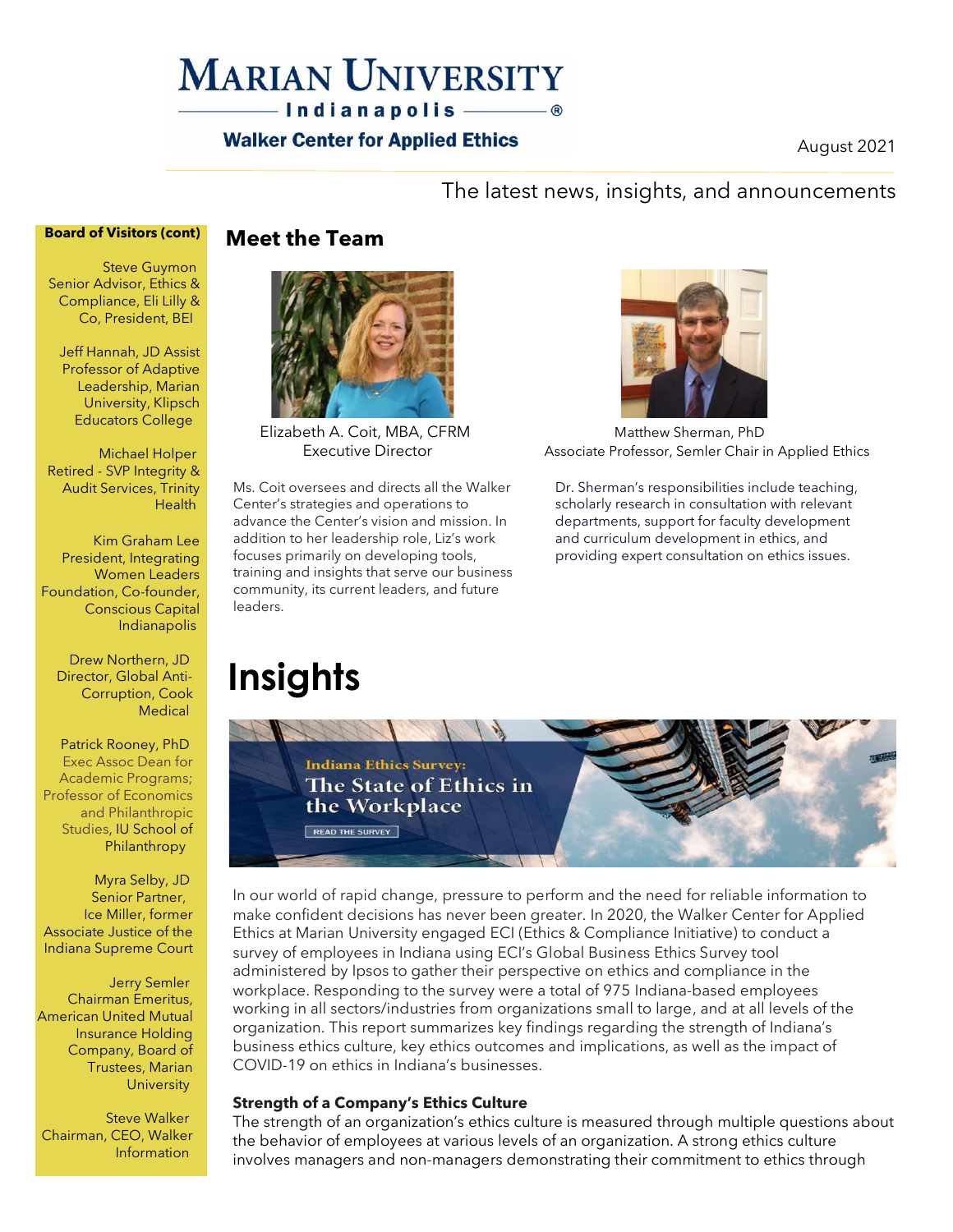### **MARIAN UNIVERSITY**  $-$  Indianapolis  $\circ$

### **Walker Center for Applied Ethics**

August 2021

### The latest news, insights, and announcements

#### **Board of Visitors (cont)**

Steve Guymon Senior Advisor, Ethics & Compliance, Eli Lilly & Co, President, BEI

Jeff Hannah, JD Assist Professor of Adaptive Leadership, Marian University, Klipsch Educators College

Michael Holper Retired - SVP Integrity & Audit Services, Trinity **Health** 

Kim Graham Lee President, Integrating Women Leaders Foundation, Co-founder, Conscious Capital Indianapolis

Drew Northern, JD Director, Global Anti-Corruption, Cook **Medical** 

Patrick Rooney, PhD Exec Assoc Dean for Academic Programs; Professor of Economics and Philanthropic Studies, IU School of **Philanthropy** 

Myra Selby, JD Senior Partner, Ice Miller, former Associate Justice of the Indiana Supreme Court

Jerry Semler Chairman Emeritus, American United Mutual Insurance Holding Company, Board of Trustees, Marian **University** 

Steve Walker Chairman, CEO, Walker Information

**Meet the Team**



Ms. Coit oversees and directs all the Walker Center's strategies and operations to advance the Center's vision and mission. In addition to her leadership role, Liz's work focuses primarily on developing tools, training and insights that serve our business community, its current leaders, and future leaders.

# **Insights**



Elizabeth A. Coit, MBA, CFRM Matthew Sherman, PhD Executive Director **Associate Professor, Semler Chair in Applied Ethics** 

Dr. Sherman's responsibilities include teaching, scholarly research in consultation with relevant departments, support for faculty development and curriculum development in ethics, and providing expert consultation on ethics issues.



In our world of rapid change, pressure to perform and the need for reliable information to make confident decisions has never been greater. In 2020, the Walker Center for Applied Ethics at Marian University engaged ECI (Ethics & Compliance Initiative) to conduct a survey of employees in Indiana using ECI's Global Business Ethics Survey tool administered by Ipsos to gather their perspective on ethics and compliance in the workplace. Responding to the survey were a total of 975 Indiana-based employees working in all sectors/industries from organizations small to large, and at all levels of the organization. This report summarizes key findings regarding the strength of Indiana's business ethics culture, key ethics outcomes and implications, as well as the impact of COVID-19 on ethics in Indiana's businesses.

#### **Strength of a Company's Ethics Culture**

The strength of an organization's ethics culture is measured through multiple questions about the behavior of employees at various levels of an organization. A strong ethics culture involves managers and non-managers demonstrating their commitment to ethics through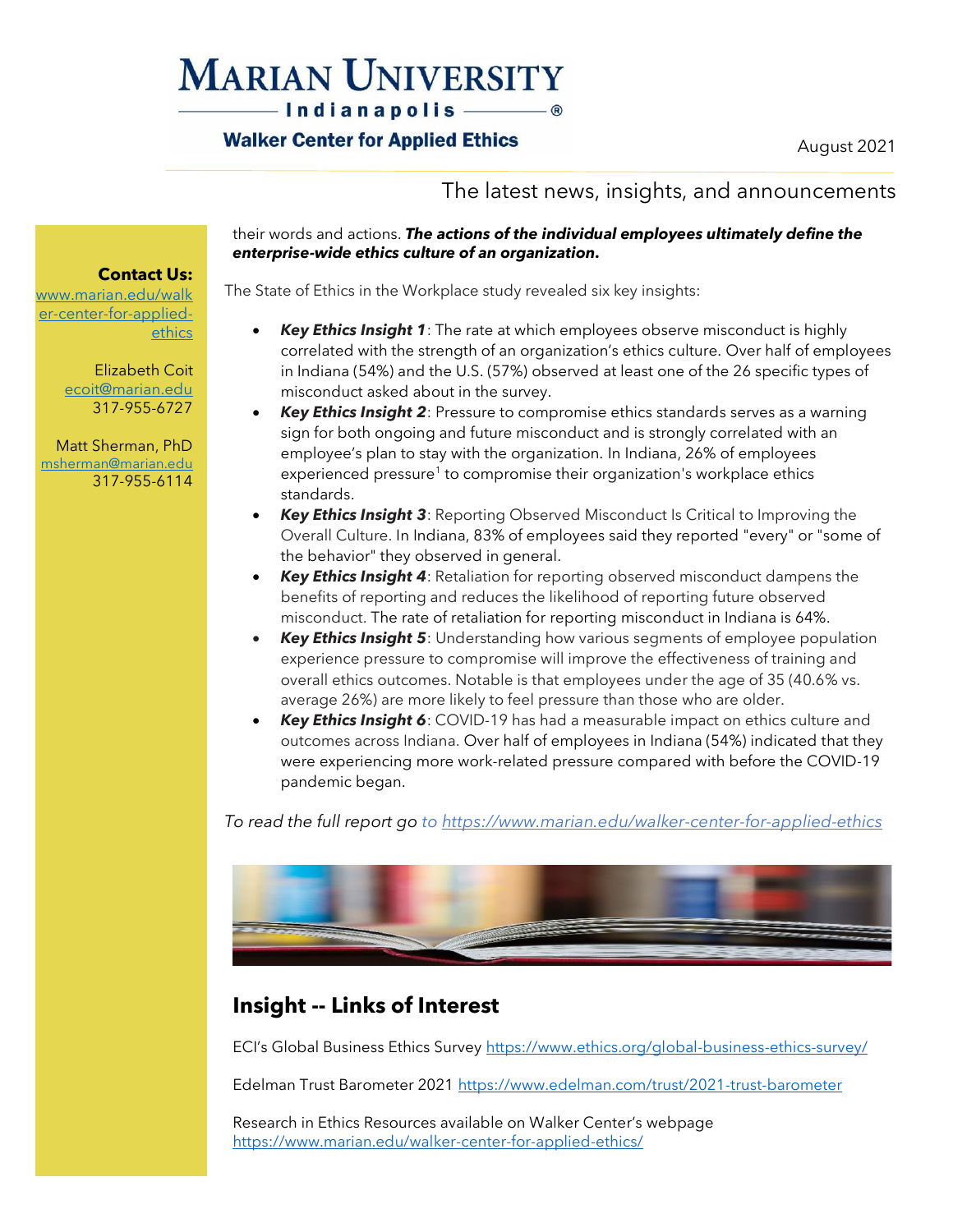# **MARIAN UNIVERSITY**

-Indianapolis ———— ®

### **Walker Center for Applied Ethics**

August 2021

### The latest news, insights, and announcements

#### their words and actions. *The actions of the individual employees ultimately define the enterprise-wide ethics culture of an organization.*

The State of Ethics in the Workplace study revealed six key insights:

- *Key Ethics Insight 1*: The rate at which employees observe misconduct is highly correlated with the strength of an organization's ethics culture. Over half of employees in Indiana (54%) and the U.S. (57%) observed at least one of the 26 specific types of misconduct asked about in the survey.
- *Key Ethics Insight 2*: Pressure to compromise ethics standards serves as a warning sign for both ongoing and future misconduct and is strongly correlated with an employee's plan to stay with the organization*.* In Indiana, 26% of employees experienced pressure<sup>1</sup> to compromise their organization's workplace ethics standards.
- *Key Ethics Insight 3*: Reporting Observed Misconduct Is Critical to Improving the Overall Culture. In Indiana, 83% of employees said they reported "every" or "some of the behavior" they observed in general.
- *Key Ethics Insight 4*: Retaliation for reporting observed misconduct dampens the benefits of reporting and reduces the likelihood of reporting future observed misconduct. The rate of retaliation for reporting misconduct in Indiana is 64%.
- *Key Ethics Insight 5*: Understanding how various segments of employee population experience pressure to compromise will improve the effectiveness of training and overall ethics outcomes. Notable is that employees under the age of 35 (40.6% vs. average 26%) are more likely to feel pressure than those who are older.
- *Key Ethics Insight 6*: COVID-19 has had a measurable impact on ethics culture and outcomes across Indiana. Over half of employees in Indiana (54%) indicated that they were experiencing more work-related pressure compared with before the COVID-19 pandemic began.

*To read the full report go to <https://www.marian.edu/walker-center-for-applied-ethics>*



### **Insight -- Links of Interest**

ECI's Global Business Ethics Survey <https://www.ethics.org/global-business-ethics-survey/>

Edelman Trust Barometer 2021<https://www.edelman.com/trust/2021-trust-barometer>

Research in Ethics Resources available on Walker Center's webpage <https://www.marian.edu/walker-center-for-applied-ethics/>

**Contact Us:** [www.marian.edu/walk](http://www.marian.edu/walker-center-for-applied-ethics)

[er-center-for-applied](http://www.marian.edu/walker-center-for-applied-ethics)[ethics](http://www.marian.edu/walker-center-for-applied-ethics)

> Elizabeth Coit [ecoit@marian.edu](mailto:ecoit@marian.edu) 317-955-6727

Matt Sherman, PhD [msherman@marian.edu](mailto:msherman@marian.edu) 317-955-6114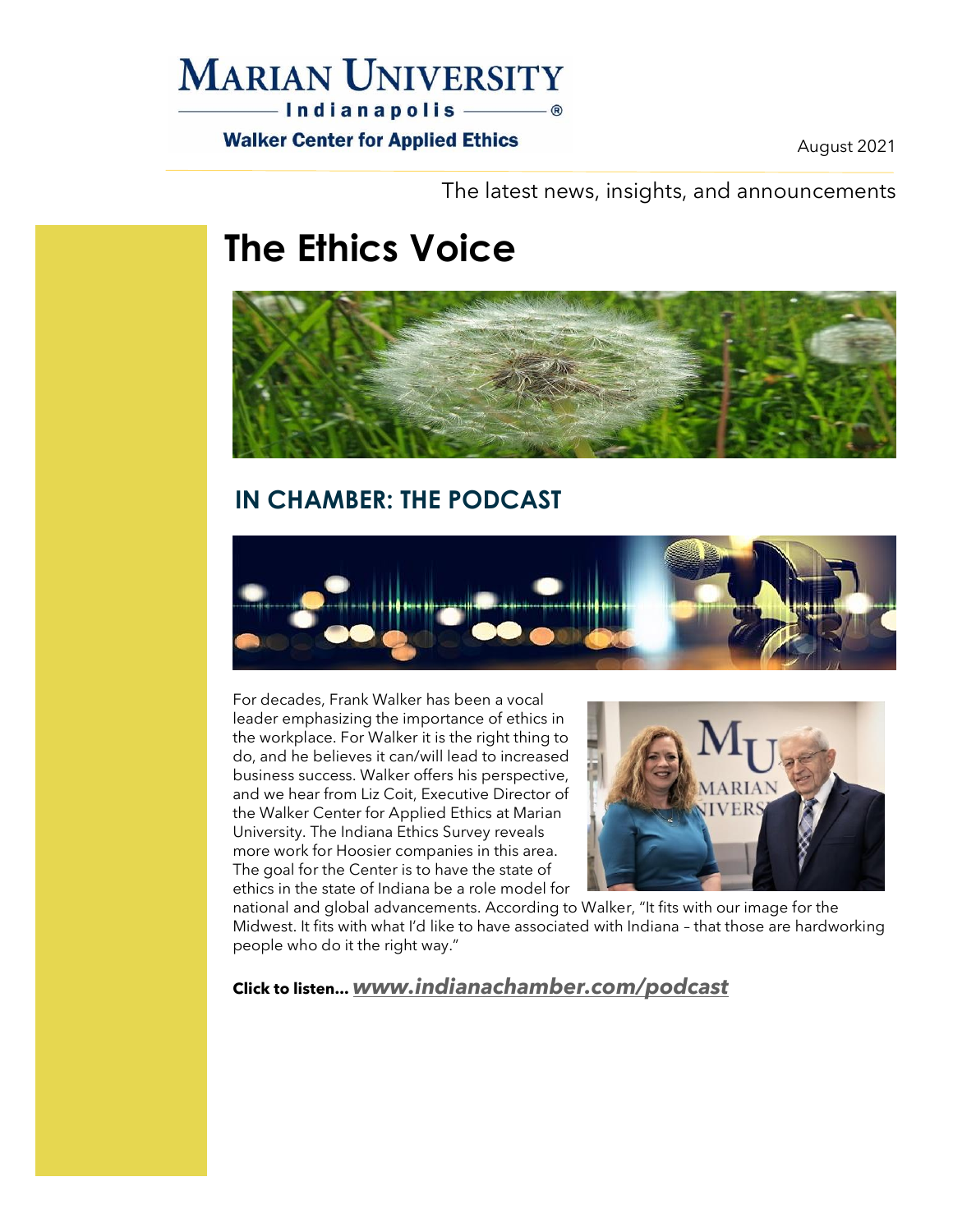### **MARIAN UNIVERSITY**

**Walker Center for Applied Ethics** 

August 2021

The latest news, insights, and announcements

# **The Ethics Voice**



### **IN CHAMBER: THE PODCAST**



For decades, Frank Walker has been a vocal leader emphasizing the importance of ethics in the workplace. For Walker it is the right thing to do, and he believes it can/will lead to increased business success. Walker offers his perspective, and we hear from Liz Coit, Executive Director of the Walker Center for Applied Ethics at Marian University. The Indiana Ethics Survey reveals more work for Hoosier companies in this area. The goal for the Center is to have the state of ethics in the state of Indiana be a role model for



national and global advancements. According to Walker, "It fits with our image for the Midwest. It fits with what I'd like to have associated with Indiana – that those are hardworking people who do it the right way."

### **Click to listen...** *[www.indianachamber.com/podcast](http://www.indianachamber.com/podcast)*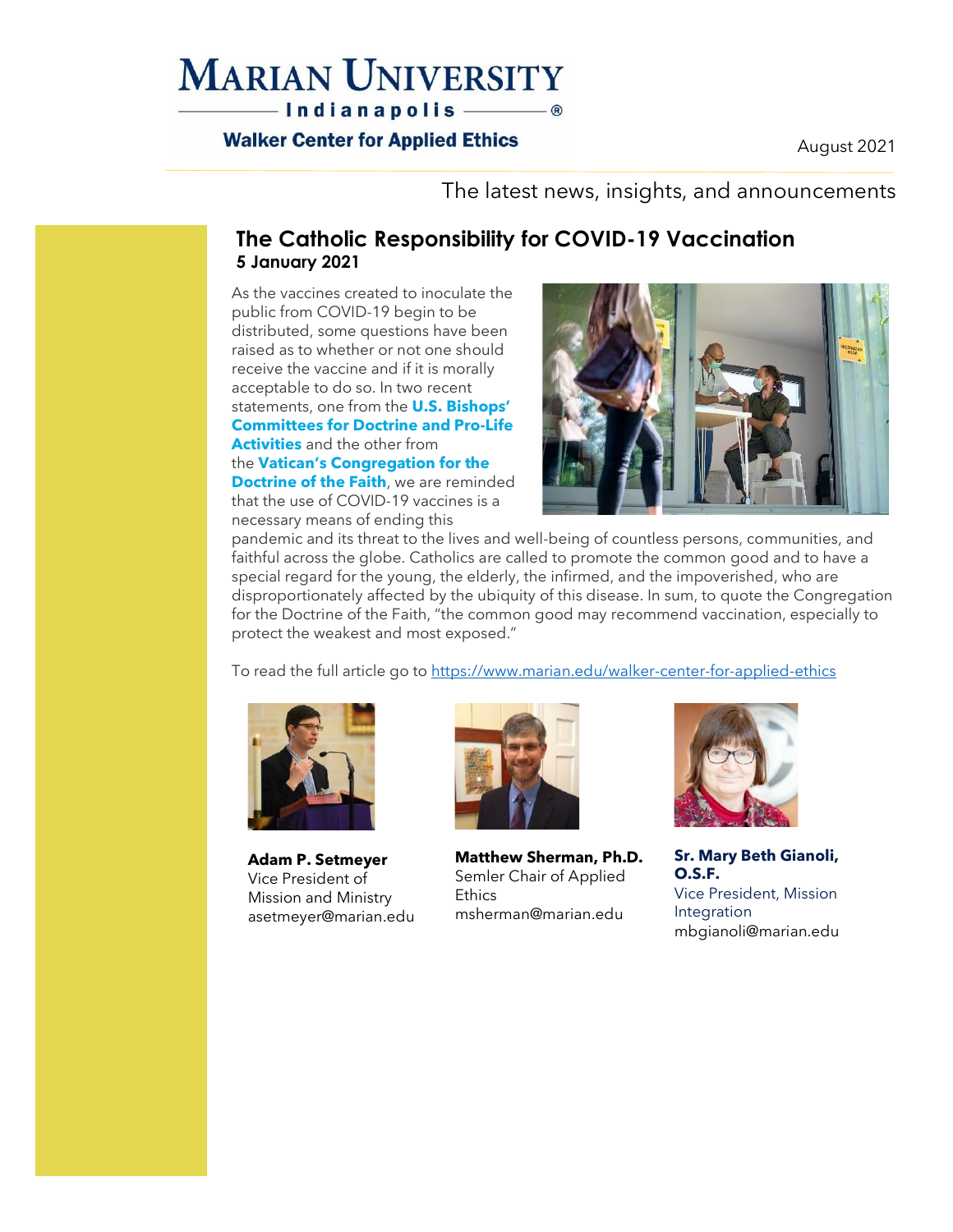### **MARIAN UNIVERSITY** -Indianapolis ———— ®

### **Walker Center for Applied Ethics**

August 2021

The latest news, insights, and announcements

### **The Catholic Responsibility for COVID-19 Vaccination 5 January 2021**

As the vaccines created to inoculate the public from COVID-19 begin to be distributed, some questions have been raised as to whether or not one should receive the vaccine and if it is morally acceptable to do so. In two recent statements, one from the **U.S. [Bishops'](https://urldefense.com/v3/__http:/www.ne16.com/t/2690759/40442673/2833841/0/1002399/?f5d63f87=MDEwNzIxJTIwQ09WSUQlMjBTYWZldHklMjBVcGRhdGU&x=9fc716f1__;!!DUogwUQ!ViThfloIfXLWvRhr6Q8NuS8gNXmXYyVX5_i9WDl0r5yyJzYk3ygQIMGM3TaE39kh$) [Committees](https://urldefense.com/v3/__http:/www.ne16.com/t/2690759/40442673/2833841/0/1002399/?f5d63f87=MDEwNzIxJTIwQ09WSUQlMjBTYWZldHklMjBVcGRhdGU&x=9fc716f1__;!!DUogwUQ!ViThfloIfXLWvRhr6Q8NuS8gNXmXYyVX5_i9WDl0r5yyJzYk3ygQIMGM3TaE39kh$) for Doctrine and Pro-Life [Activities](https://urldefense.com/v3/__http:/www.ne16.com/t/2690759/40442673/2833841/0/1002399/?f5d63f87=MDEwNzIxJTIwQ09WSUQlMjBTYWZldHklMjBVcGRhdGU&x=9fc716f1__;!!DUogwUQ!ViThfloIfXLWvRhr6Q8NuS8gNXmXYyVX5_i9WDl0r5yyJzYk3ygQIMGM3TaE39kh$)** and the other from the **Vatican's [Congregation](https://urldefense.com/v3/__http:/www.ne16.com/t/2690759/40442673/2833842/0/1002399/?f5d63f87=MDEwNzIxJTIwQ09WSUQlMjBTYWZldHklMjBVcGRhdGU&x=42b725a3__;!!DUogwUQ!ViThfloIfXLWvRhr6Q8NuS8gNXmXYyVX5_i9WDl0r5yyJzYk3ygQIMGM3aA5TzhP$) for the [Doctrine](https://urldefense.com/v3/__http:/www.ne16.com/t/2690759/40442673/2833842/0/1002399/?f5d63f87=MDEwNzIxJTIwQ09WSUQlMjBTYWZldHklMjBVcGRhdGU&x=42b725a3__;!!DUogwUQ!ViThfloIfXLWvRhr6Q8NuS8gNXmXYyVX5_i9WDl0r5yyJzYk3ygQIMGM3aA5TzhP$) of the Faith**, we are reminded that the use of COVID-19 vaccines is a necessary means of ending this



pandemic and its threat to the lives and well-being of countless persons, communities, and faithful across the globe. Catholics are called to promote the common good and to have a special regard for the young, the elderly, the infirmed, and the impoverished, who are disproportionately affected by the ubiquity of this disease. In sum, to quote the Congregation for the Doctrine of the Faith, "the common good may recommend vaccination, especially to protect the weakest and most exposed."

To read the full article go to <https://www.marian.edu/walker-center-for-applied-ethics>



**Adam P. Setmeyer** Vice President of Mission and Ministry [asetmeyer@marian.edu](mailto:asetmeyer@marian.edu)



**Matthew Sherman, Ph.D.** Semler Chair of Applied **Ethics** [msherman@marian.edu](mailto:msherman@marian.edu)



**Sr. Mary Beth Gianoli, O.S.F.** Vice President, Mission Integration [mbgianoli@marian.edu](mailto:mbgianoli@marian.edu)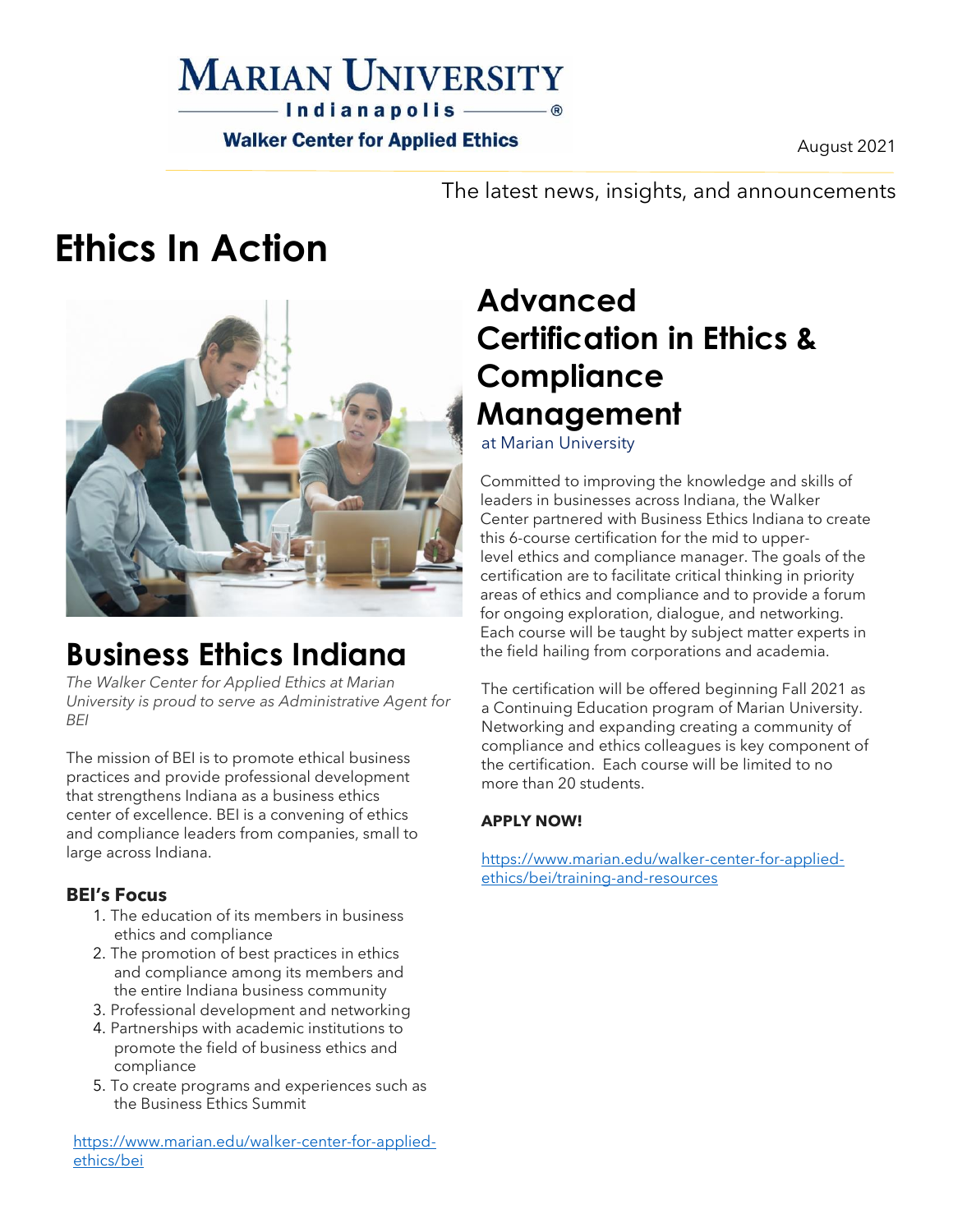### **MARIAN UNIVERSITY**  $-$  Indianapolis  $\circ$

**Walker Center for Applied Ethics** 

August 2021

The latest news, insights, and announcements

# **Ethics In Action**



## **Business Ethics Indiana**

*The Walker Center for Applied Ethics at Marian University is proud to serve as Administrative Agent for BEI*

The mission of BEI is to promote ethical business practices and provide professional development that strengthens Indiana as a business ethics center of excellence. BEI is a convening of ethics and compliance leaders from companies, small to large across Indiana.

### **BEI's Focus**

- 1. The education of its members in business ethics and compliance
- 2. The promotion of best practices in ethics and compliance among its members and the entire Indiana business community
- 3. Professional development and networking
- 4. Partnerships with academic institutions to promote the field of business ethics and compliance
- 5. To create programs and experiences such as the Business Ethics Summit

[https://www.marian.edu/walker-center-for-applied](https://www.marian.edu/walker-center-for-applied-ethics/bei)[ethics/bei](https://www.marian.edu/walker-center-for-applied-ethics/bei)

# **Advanced Certification in Ethics & Compliance Management**

at Marian University

Committed to improving the knowledge and skills of leaders in businesses across Indiana, the Walker Center partnered with Business Ethics Indiana to create this 6-course certification for the mid to upperlevel ethics and compliance manager. The goals of the certification are to facilitate critical thinking in priority areas of ethics and compliance and to provide a forum for ongoing exploration, dialogue, and networking. Each course will be taught by subject matter experts in the field hailing from corporations and academia.

The certification will be offered beginning Fall 2021 as a Continuing Education program of Marian University. Networking and expanding creating a community of compliance and ethics colleagues is key component of the certification. Each course will be limited to no more than 20 students.

### **APPLY NOW!**

[https://www.marian.edu/walker-center-for-applied](https://www.marian.edu/walker-center-for-applied-ethics/bei/training-and-resources)[ethics/bei/training-and-resources](https://www.marian.edu/walker-center-for-applied-ethics/bei/training-and-resources)